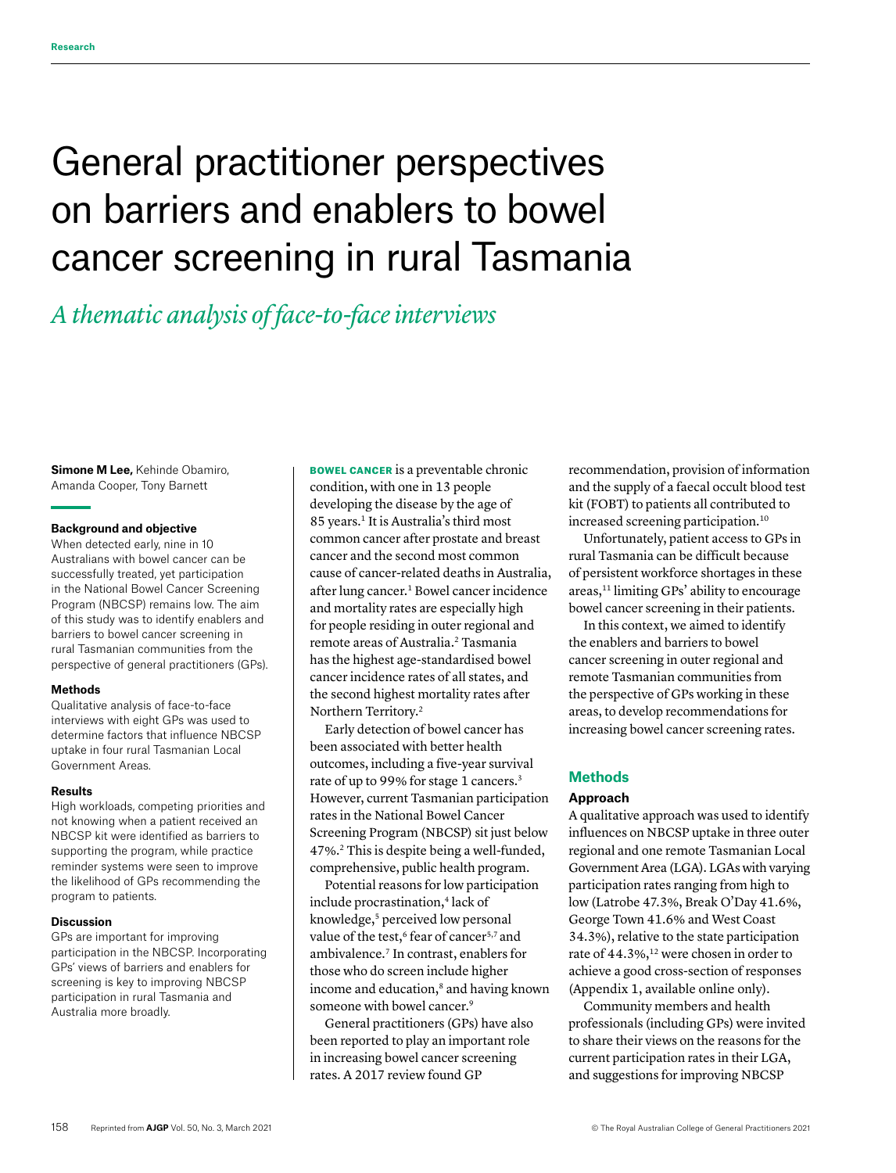# General practitioner perspectives on barriers and enablers to bowel cancer screening in rural Tasmania

# *A thematic analysis of face-to-face interviews*

**Simone M Lee,** Kehinde Obamiro, Amanda Cooper, Tony Barnett

# **Background and objective**

When detected early, nine in 10 Australians with bowel cancer can be successfully treated, yet participation in the National Bowel Cancer Screening Program (NBCSP) remains low. The aim of this study was to identify enablers and barriers to bowel cancer screening in rural Tasmanian communities from the perspective of general practitioners (GPs).

#### **Methods**

Qualitative analysis of face-to-face interviews with eight GPs was used to determine factors that influence NBCSP uptake in four rural Tasmanian Local Government Areas.

#### **Results**

High workloads, competing priorities and not knowing when a patient received an NBCSP kit were identified as barriers to supporting the program, while practice reminder systems were seen to improve the likelihood of GPs recommending the program to patients.

#### **Discussion**

GPs are important for improving participation in the NBCSP. Incorporating GPs' views of barriers and enablers for screening is key to improving NBCSP participation in rural Tasmania and Australia more broadly.

BOWEL CANCER is a preventable chronic condition, with one in 13 people developing the disease by the age of 85 years.<sup>1</sup> It is Australia's third most common cancer after prostate and breast cancer and the second most common cause of cancer-related deaths in Australia, after lung cancer.<sup>1</sup> Bowel cancer incidence and mortality rates are especially high for people residing in outer regional and remote areas of Australia.<sup>2</sup> Tasmania has the highest age-standardised bowel cancer incidence rates of all states, and the second highest mortality rates after Northern Territory.2

Early detection of bowel cancer has been associated with better health outcomes, including a five-year survival rate of up to 99% for stage 1 cancers.<sup>3</sup> However, current Tasmanian participation rates in the National Bowel Cancer Screening Program (NBCSP) sit just below 47%.2 This is despite being a well-funded, comprehensive, public health program.

Potential reasons for low participation include procrastination,<sup>4</sup> lack of knowledge,<sup>5</sup> perceived low personal value of the test,<sup>6</sup> fear of cancer<sup>5,7</sup> and ambivalence.7 In contrast, enablers for those who do screen include higher income and education,<sup>8</sup> and having known someone with bowel cancer.<sup>9</sup>

General practitioners (GPs) have also been reported to play an important role in increasing bowel cancer screening rates. A 2017 review found GP

recommendation, provision of information and the supply of a faecal occult blood test kit (FOBT) to patients all contributed to increased screening participation.10

Unfortunately, patient access to GPs in rural Tasmania can be difficult because of persistent workforce shortages in these areas,11 limiting GPs' ability to encourage bowel cancer screening in their patients.

In this context, we aimed to identify the enablers and barriers to bowel cancer screening in outer regional and remote Tasmanian communities from the perspective of GPs working in these areas, to develop recommendations for increasing bowel cancer screening rates.

# **Methods**

# **Approach**

A qualitative approach was used to identify influences on NBCSP uptake in three outer regional and one remote Tasmanian Local Government Area (LGA). LGAs with varying participation rates ranging from high to low (Latrobe 47.3%, Break O'Day 41.6%, George Town 41.6% and West Coast 34.3%), relative to the state participation rate of 44.3%,<sup>12</sup> were chosen in order to achieve a good cross-section of responses (Appendix 1, available online only).

Community members and health professionals (including GPs) were invited to share their views on the reasons for the current participation rates in their LGA, and suggestions for improving NBCSP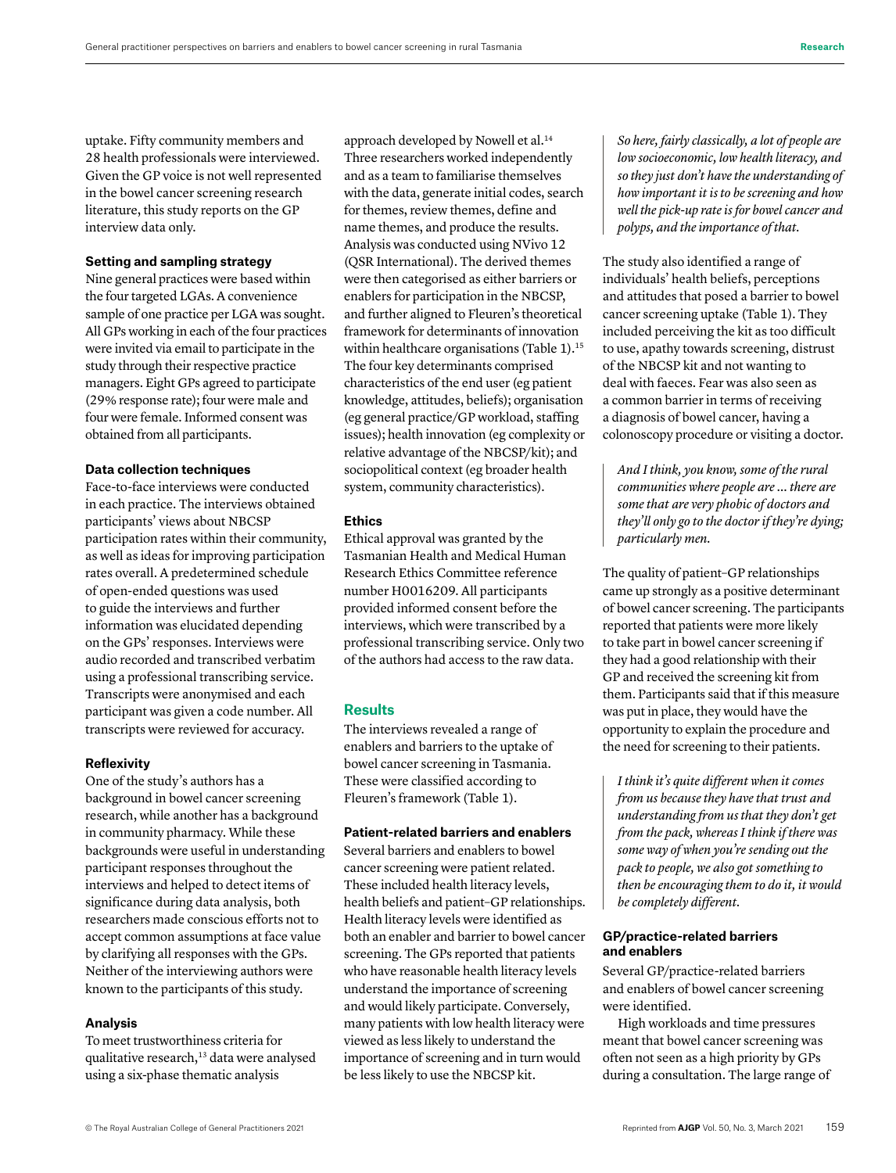uptake. Fifty community members and 28 health professionals were interviewed. Given the GP voice is not well represented in the bowel cancer screening research literature, this study reports on the GP interview data only.

#### **Setting and sampling strategy**

Nine general practices were based within the four targeted LGAs. A convenience sample of one practice per LGA was sought. All GPs working in each of the four practices were invited via email to participate in the study through their respective practice managers. Eight GPs agreed to participate (29% response rate); four were male and four were female. Informed consent was obtained from all participants.

#### **Data collection techniques**

Face-to-face interviews were conducted in each practice. The interviews obtained participants' views about NBCSP participation rates within their community, as well as ideas for improving participation rates overall. A predetermined schedule of open-ended questions was used to guide the interviews and further information was elucidated depending on the GPs' responses. Interviews were audio recorded and transcribed verbatim using a professional transcribing service. Transcripts were anonymised and each participant was given a code number. All transcripts were reviewed for accuracy.

# **Reflexivity**

One of the study's authors has a background in bowel cancer screening research, while another has a background in community pharmacy. While these backgrounds were useful in understanding participant responses throughout the interviews and helped to detect items of significance during data analysis, both researchers made conscious efforts not to accept common assumptions at face value by clarifying all responses with the GPs. Neither of the interviewing authors were known to the participants of this study.

#### **Analysis**

To meet trustworthiness criteria for qualitative research,<sup>13</sup> data were analysed using a six-phase thematic analysis

approach developed by Nowell et al.14 Three researchers worked independently and as a team to familiarise themselves with the data, generate initial codes, search for themes, review themes, define and name themes, and produce the results. Analysis was conducted using NVivo 12 (QSR International). The derived themes were then categorised as either barriers or enablers for participation in the NBCSP, and further aligned to Fleuren's theoretical framework for determinants of innovation within healthcare organisations (Table 1).<sup>15</sup> The four key determinants comprised characteristics of the end user (eg patient knowledge, attitudes, beliefs); organisation (eg general practice/GP workload, staffing issues); health innovation (eg complexity or relative advantage of the NBCSP/kit); and sociopolitical context (eg broader health system, community characteristics).

# **Ethics**

Ethical approval was granted by the Tasmanian Health and Medical Human Research Ethics Committee reference number H0016209. All participants provided informed consent before the interviews, which were transcribed by a professional transcribing service. Only two of the authors had access to the raw data.

# **Results**

The interviews revealed a range of enablers and barriers to the uptake of bowel cancer screening in Tasmania. These were classified according to Fleuren's framework (Table 1).

# **Patient-related barriers and enablers**

Several barriers and enablers to bowel cancer screening were patient related. These included health literacy levels, health beliefs and patient–GP relationships. Health literacy levels were identified as both an enabler and barrier to bowel cancer screening. The GPs reported that patients who have reasonable health literacy levels understand the importance of screening and would likely participate. Conversely, many patients with low health literacy were viewed as less likely to understand the importance of screening and in turn would be less likely to use the NBCSP kit.

*So here, fairly classically, a lot of people are low socioeconomic, low health literacy, and so they just don't have the understanding of how important it is to be screening and how well the pick-up rate is for bowel cancer and polyps, and the importance of that.*

The study also identified a range of individuals' health beliefs, perceptions and attitudes that posed a barrier to bowel cancer screening uptake (Table 1). They included perceiving the kit as too difficult to use, apathy towards screening, distrust of the NBCSP kit and not wanting to deal with faeces. Fear was also seen as a common barrier in terms of receiving a diagnosis of bowel cancer, having a colonoscopy procedure or visiting a doctor.

*And I think, you know, some of the rural communities where people are … there are some that are very phobic of doctors and they'll only go to the doctor if they're dying; particularly men.*

The quality of patient–GP relationships came up strongly as a positive determinant of bowel cancer screening. The participants reported that patients were more likely to take part in bowel cancer screening if they had a good relationship with their GP and received the screening kit from them. Participants said that if this measure was put in place, they would have the opportunity to explain the procedure and the need for screening to their patients.

*I think it's quite different when it comes from us because they have that trust and understanding from us that they don't get from the pack, whereas I think if there was some way of when you're sending out the pack to people, we also got something to then be encouraging them to do it, it would be completely different.*

# **GP/practice-related barriers and enablers**

Several GP/practice-related barriers and enablers of bowel cancer screening were identified.

High workloads and time pressures meant that bowel cancer screening was often not seen as a high priority by GPs during a consultation. The large range of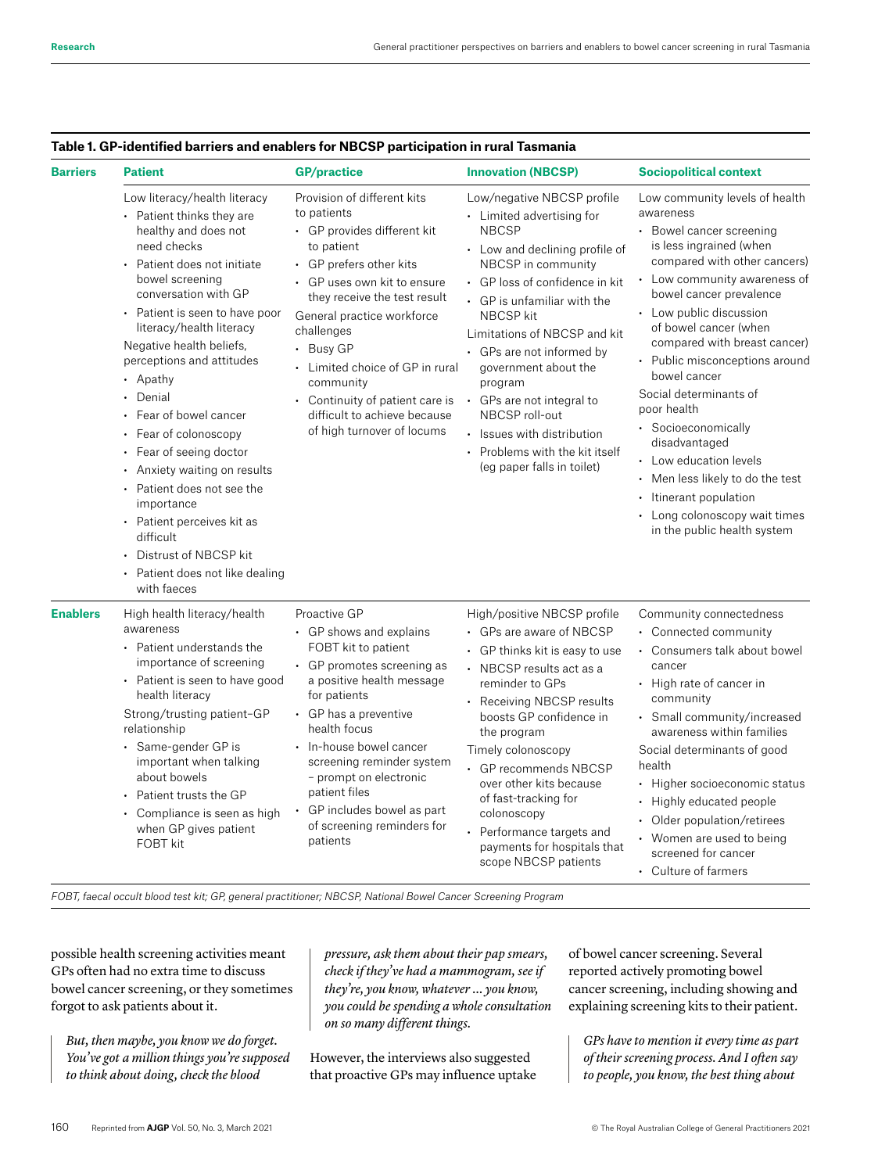| <b>Barriers</b> | <b>Patient</b>                                                                                                                                                                                                                                                                                                                                                                                                                                                                                                                                                                                             | <b>GP/practice</b>                                                                                                                                                                                                                                                                                                                                                                          | <b>Innovation (NBCSP)</b>                                                                                                                                                                                                                                                                                                                                                                                                                                         | <b>Sociopolitical context</b>                                                                                                                                                                                                                                                                                                                                                                                                                                                                                                                                            |
|-----------------|------------------------------------------------------------------------------------------------------------------------------------------------------------------------------------------------------------------------------------------------------------------------------------------------------------------------------------------------------------------------------------------------------------------------------------------------------------------------------------------------------------------------------------------------------------------------------------------------------------|---------------------------------------------------------------------------------------------------------------------------------------------------------------------------------------------------------------------------------------------------------------------------------------------------------------------------------------------------------------------------------------------|-------------------------------------------------------------------------------------------------------------------------------------------------------------------------------------------------------------------------------------------------------------------------------------------------------------------------------------------------------------------------------------------------------------------------------------------------------------------|--------------------------------------------------------------------------------------------------------------------------------------------------------------------------------------------------------------------------------------------------------------------------------------------------------------------------------------------------------------------------------------------------------------------------------------------------------------------------------------------------------------------------------------------------------------------------|
|                 | Low literacy/health literacy<br>• Patient thinks they are<br>healthy and does not<br>need checks<br>• Patient does not initiate<br>bowel screening<br>conversation with GP<br>• Patient is seen to have poor<br>literacy/health literacy<br>Negative health beliefs,<br>perceptions and attitudes<br>• Apathy<br>Denial<br>Fear of bowel cancer<br>Fear of colonoscopy<br>Fear of seeing doctor<br>Anxiety waiting on results<br>• Patient does not see the<br>importance<br>• Patient perceives kit as<br>difficult<br>Distrust of NBCSP kit<br>$\bullet$<br>Patient does not like dealing<br>with faeces | Provision of different kits<br>to patients<br>• GP provides different kit<br>to patient<br>• GP prefers other kits<br>• GP uses own kit to ensure<br>they receive the test result<br>General practice workforce<br>challenges<br>• Busy GP<br>• Limited choice of GP in rural<br>community<br>• Continuity of patient care is<br>difficult to achieve because<br>of high turnover of locums | Low/negative NBCSP profile<br>• Limited advertising for<br><b>NBCSP</b><br>• Low and declining profile of<br>NBCSP in community<br>• GP loss of confidence in kit<br>• GP is unfamiliar with the<br><b>NBCSP</b> kit<br>Limitations of NBCSP and kit<br>• GPs are not informed by<br>government about the<br>program<br>• GPs are not integral to<br>NBCSP roll-out<br>· Issues with distribution<br>• Problems with the kit itself<br>(eg paper falls in toilet) | Low community levels of health<br>awareness<br>• Bowel cancer screening<br>is less ingrained (when<br>compared with other cancers)<br>• Low community awareness of<br>bowel cancer prevalence<br>• Low public discussion<br>of bowel cancer (when<br>compared with breast cancer)<br>Public misconceptions around<br>bowel cancer<br>Social determinants of<br>poor health<br>• Socioeconomically<br>disadvantaged<br>• Low education levels<br>• Men less likely to do the test<br>• Itinerant population<br>Long colonoscopy wait times<br>in the public health system |
| <b>Enablers</b> | High health literacy/health<br>awareness<br>• Patient understands the<br>importance of screening<br>• Patient is seen to have good<br>health literacy<br>Strong/trusting patient-GP<br>relationship<br>• Same-gender GP is<br>important when talking<br>about bowels<br>Patient trusts the GP<br>• Compliance is seen as high<br>when GP gives patient<br>FOBT kit                                                                                                                                                                                                                                         | Proactive GP<br>• GP shows and explains<br>FOBT kit to patient<br>• GP promotes screening as<br>a positive health message<br>for patients<br>• GP has a preventive<br>health focus<br>• In-house bowel cancer<br>screening reminder system<br>- prompt on electronic<br>patient files<br>GP includes bowel as part<br>of screening reminders for<br>patients                                | High/positive NBCSP profile<br>• GPs are aware of NBCSP<br>• GP thinks kit is easy to use<br>• NBCSP results act as a<br>reminder to GPs<br>• Receiving NBCSP results<br>boosts GP confidence in<br>the program<br>Timely colonoscopy<br>• GP recommends NBCSP<br>over other kits because<br>of fast-tracking for<br>colonoscopy<br>• Performance targets and<br>payments for hospitals that<br>scope NBCSP patients                                              | Community connectedness<br>• Connected community<br>• Consumers talk about bowel<br>cancer<br>• High rate of cancer in<br>community<br>• Small community/increased<br>awareness within families<br>Social determinants of good<br>health<br>• Higher socioeconomic status<br>• Highly educated people<br>• Older population/retirees<br>• Women are used to being<br>screened for cancer<br>• Culture of farmers                                                                                                                                                         |

# **Table 1. GP-identified barriers and enablers for NBCSP participation in rural Tasmania**

*FOBT, faecal occult blood test kit; GP, general practitioner; NBCSP, National Bowel Cancer Screening Program*

possible health screening activities meant GPs often had no extra time to discuss bowel cancer screening, or they sometimes forgot to ask patients about it.

*But, then maybe, you know we do forget. You've got a million things you're supposed to think about doing, check the blood* 

*pressure, ask them about their pap smears, check if they've had a mammogram, see if they're, you know, whatever … you know, you could be spending a whole consultation on so many different things.*

However, the interviews also suggested that proactive GPs may influence uptake of bowel cancer screening. Several reported actively promoting bowel cancer screening, including showing and explaining screening kits to their patient.

*GPs have to mention it every time as part of their screening process. And I often say to people, you know, the best thing about*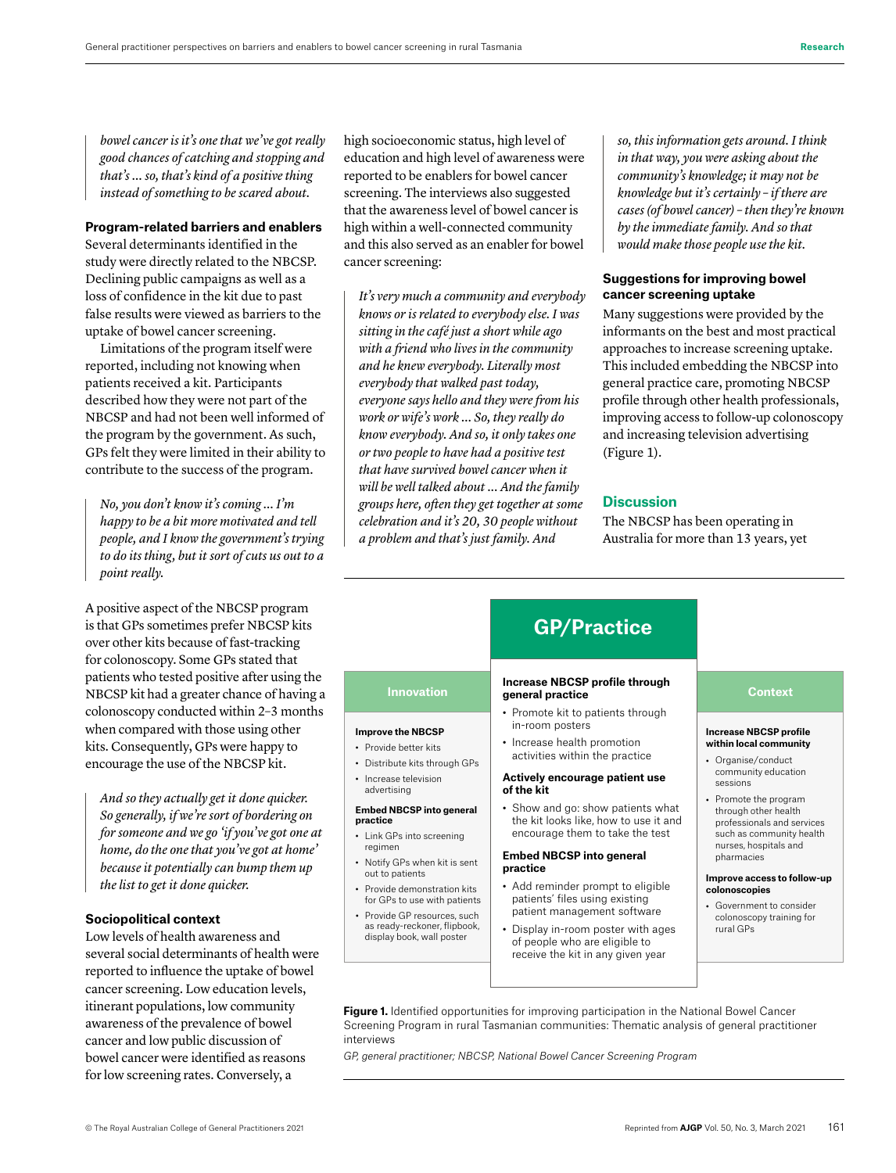*bowel cancer is it's one that we've got really good chances of catching and stopping and that's … so, that's kind of a positive thing instead of something to be scared about.*

## **Program-related barriers and enablers**

Several determinants identified in the study were directly related to the NBCSP. Declining public campaigns as well as a loss of confidence in the kit due to past false results were viewed as barriers to the uptake of bowel cancer screening.

Limitations of the program itself were reported, including not knowing when patients received a kit. Participants described how they were not part of the NBCSP and had not been well informed of the program by the government. As such, GPs felt they were limited in their ability to contribute to the success of the program.

*No, you don't know it's coming … I'm happy to be a bit more motivated and tell people, and I know the government's trying to do its thing, but it sort of cuts us out to a point really.*

A positive aspect of the NBCSP program is that GPs sometimes prefer NBCSP kits over other kits because of fast-tracking for colonoscopy. Some GPs stated that patients who tested positive after using the NBCSP kit had a greater chance of having a colonoscopy conducted within 2–3 months when compared with those using other kits. Consequently, GPs were happy to encourage the use of the NBCSP kit.

*And so they actually get it done quicker. So generally, if we're sort of bordering on for someone and we go 'if you've got one at home, do the one that you've got at home' because it potentially can bump them up the list to get it done quicker.*

# **Sociopolitical context**

Low levels of health awareness and several social determinants of health were reported to influence the uptake of bowel cancer screening. Low education levels, itinerant populations, low community awareness of the prevalence of bowel cancer and low public discussion of bowel cancer were identified as reasons for low screening rates. Conversely, a

high socioeconomic status, high level of education and high level of awareness were reported to be enablers for bowel cancer screening. The interviews also suggested that the awareness level of bowel cancer is high within a well-connected community and this also served as an enabler for bowel cancer screening:

*It's very much a community and everybody knows or is related to everybody else. I was sitting in the café just a short while ago with a friend who lives in the community and he knew everybody. Literally most everybody that walked past today, everyone says hello and they were from his work or wife's work … So, they really do know everybody. And so, it only takes one or two people to have had a positive test that have survived bowel cancer when it will be well talked about ... And the family groups here, often they get together at some celebration and it's 20, 30 people without a problem and that's just family. And* 

*so, this information gets around. I think in that way, you were asking about the community's knowledge; it may not be knowledge but it's certainly – if there are cases (of bowel cancer) – then they're known by the immediate family. And so that would make those people use the kit.*

#### **Suggestions for improving bowel cancer screening uptake**

Many suggestions were provided by the informants on the best and most practical approaches to increase screening uptake. This included embedding the NBCSP into general practice care, promoting NBCSP profile through other health professionals, improving access to follow-up colonoscopy and increasing television advertising (Figure 1).

## **Discussion**

The NBCSP has been operating in Australia for more than 13 years, yet



Figure 1. Identified opportunities for improving participation in the National Bowel Cancer Screening Program in rural Tasmanian communities: Thematic analysis of general practitioner interviews

receive the kit in any given year

*GP, general practitioner; NBCSP, National Bowel Cancer Screening Program*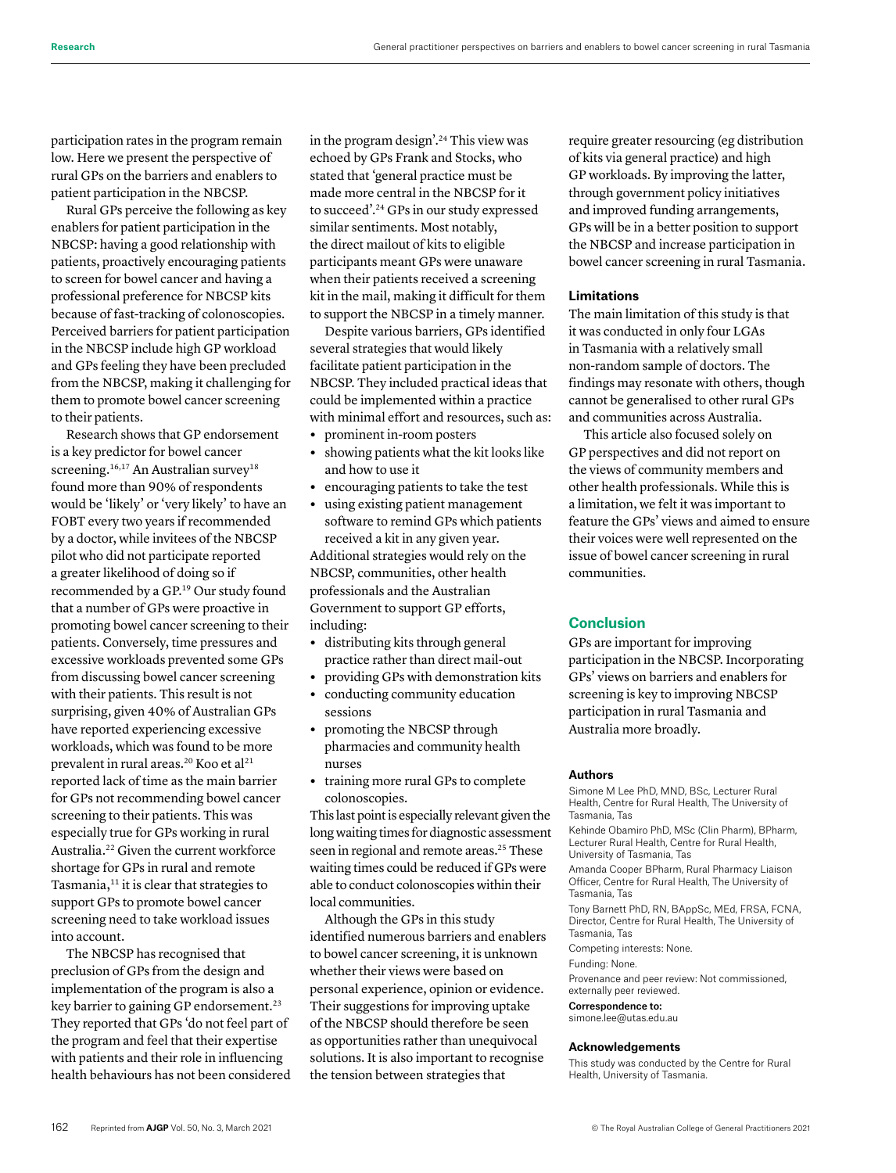participation rates in the program remain low. Here we present the perspective of rural GPs on the barriers and enablers to patient participation in the NBCSP.

Rural GPs perceive the following as key enablers for patient participation in the NBCSP: having a good relationship with patients, proactively encouraging patients to screen for bowel cancer and having a professional preference for NBCSP kits because of fast-tracking of colonoscopies. Perceived barriers for patient participation in the NBCSP include high GP workload and GPs feeling they have been precluded from the NBCSP, making it challenging for them to promote bowel cancer screening to their patients.

Research shows that GP endorsement is a key predictor for bowel cancer screening.<sup>16,17</sup> An Australian survey<sup>18</sup> found more than 90% of respondents would be 'likely' or 'very likely' to have an FOBT every two years if recommended by a doctor, while invitees of the NBCSP pilot who did not participate reported a greater likelihood of doing so if recommended by a GP.19 Our study found that a number of GPs were proactive in promoting bowel cancer screening to their patients. Conversely, time pressures and excessive workloads prevented some GPs from discussing bowel cancer screening with their patients. This result is not surprising, given 40% of Australian GPs have reported experiencing excessive workloads, which was found to be more prevalent in rural areas.<sup>20</sup> Koo et al<sup>21</sup> reported lack of time as the main barrier for GPs not recommending bowel cancer screening to their patients. This was especially true for GPs working in rural Australia.22 Given the current workforce shortage for GPs in rural and remote Tasmania,<sup>11</sup> it is clear that strategies to support GPs to promote bowel cancer screening need to take workload issues into account.

The NBCSP has recognised that preclusion of GPs from the design and implementation of the program is also a key barrier to gaining GP endorsement.<sup>23</sup> They reported that GPs 'do not feel part of the program and feel that their expertise with patients and their role in influencing health behaviours has not been considered in the program design'.24 This view was echoed by GPs Frank and Stocks, who stated that 'general practice must be made more central in the NBCSP for it to succeed'.24 GPs in our study expressed similar sentiments. Most notably, the direct mailout of kits to eligible participants meant GPs were unaware when their patients received a screening kit in the mail, making it difficult for them to support the NBCSP in a timely manner.

Despite various barriers, GPs identified several strategies that would likely facilitate patient participation in the NBCSP. They included practical ideas that could be implemented within a practice with minimal effort and resources, such as:

- **•** prominent in-room posters
- **•** showing patients what the kit looks like and how to use it
- **•** encouraging patients to take the test
- **•** using existing patient management software to remind GPs which patients received a kit in any given year.

Additional strategies would rely on the NBCSP, communities, other health professionals and the Australian Government to support GP efforts, including:

- **•** distributing kits through general practice rather than direct mail-out
- **•** providing GPs with demonstration kits
- **•** conducting community education sessions
- **•** promoting the NBCSP through pharmacies and community health nurses
- **•** training more rural GPs to complete colonoscopies.

This last point is especially relevant given the long waiting times for diagnostic assessment seen in regional and remote areas.<sup>25</sup> These waiting times could be reduced if GPs were able to conduct colonoscopies within their local communities.

Although the GPs in this study identified numerous barriers and enablers to bowel cancer screening, it is unknown whether their views were based on personal experience, opinion or evidence. Their suggestions for improving uptake of the NBCSP should therefore be seen as opportunities rather than unequivocal solutions. It is also important to recognise the tension between strategies that

require greater resourcing (eg distribution of kits via general practice) and high GP workloads. By improving the latter, through government policy initiatives and improved funding arrangements, GPs will be in a better position to support the NBCSP and increase participation in bowel cancer screening in rural Tasmania.

## **Limitations**

The main limitation of this study is that it was conducted in only four LGAs in Tasmania with a relatively small non-random sample of doctors. The findings may resonate with others, though cannot be generalised to other rural GPs and communities across Australia.

This article also focused solely on GP perspectives and did not report on the views of community members and other health professionals. While this is a limitation, we felt it was important to feature the GPs' views and aimed to ensure their voices were well represented on the issue of bowel cancer screening in rural communities.

# **Conclusion**

GPs are important for improving participation in the NBCSP. Incorporating GPs' views on barriers and enablers for screening is key to improving NBCSP participation in rural Tasmania and Australia more broadly.

#### **Authors**

Simone M Lee PhD, MND, BSc, Lecturer Rural Health, Centre for Rural Health, The University of Tasmania, Tas

Kehinde Obamiro PhD, MSc (Clin Pharm), BPharm, Lecturer Rural Health, Centre for Rural Health, University of Tasmania, Tas

Amanda Cooper BPharm, Rural Pharmacy Liaison Officer, Centre for Rural Health, The University of Tasmania, Tas

Tony Barnett PhD, RN, BAppSc, MEd, FRSA, FCNA, Director, Centre for Rural Health, The University of Tasmania, Tas

Competing interests: None.

Funding: None.

Provenance and peer review: Not commissioned, externally peer reviewed.

Correspondence to:

simone.lee@utas.edu.au

#### **Acknowledgements**

This study was conducted by the Centre for Rural Health, University of Tasmania.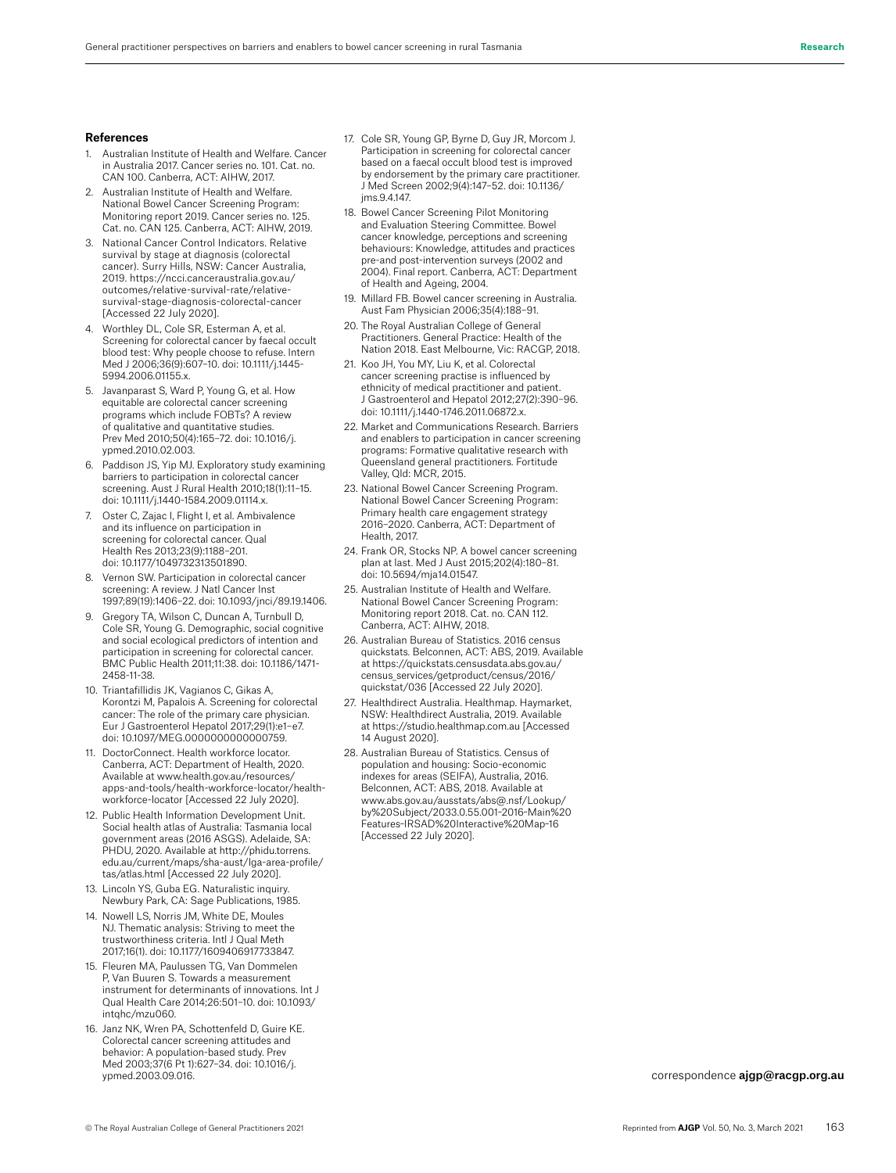#### **References**

- 1. Australian Institute of Health and Welfare. Cancer in Australia 2017. Cancer series no. 101. Cat. no. CAN 100. Canberra, ACT: AIHW, 2017.
- 2. Australian Institute of Health and Welfare. National Bowel Cancer Screening Program: Monitoring report 2019. Cancer series no. 125. Cat. no. CAN 125. Canberra, ACT: AIHW, 2019.
- 3. National Cancer Control Indicators. Relative survival by stage at diagnosis (colorectal cancer). Surry Hills, NSW: Cancer Australia, 2019. https://ncci.canceraustralia.gov.au/ outcomes/relative-survival-rate/relativesurvival-stage-diagnosis-colorectal-cancer [Accessed 22 July 2020].
- 4. Worthley DL, Cole SR, Esterman A, et al. Screening for colorectal cancer by faecal occult blood test: Why people choose to refuse. Intern Med J 2006;36(9):607–10. doi: 10.1111/j.1445- 5994.2006.01155.x.
- 5. Javanparast S, Ward P, Young G, et al. How equitable are colorectal cancer screening programs which include FOBTs? A review of qualitative and quantitative studies. Prev Med 2010;50(4):165–72. doi: 10.1016/j. ypmed.2010.02.003.
- Paddison JS, Yip MJ. Exploratory study examining barriers to participation in colorectal cancer screening. Aust J Rural Health 2010;18(1):11–15. doi: 10.1111/j.1440-1584.2009.01114.x.
- Oster C, Zajac I, Flight I, et al. Ambivalence and its influence on participation in screening for colorectal cancer. Qual Health Res 2013;23(9):1188–201. doi: 10.1177/1049732313501890.
- Vernon SW. Participation in colorectal cancer screening: A review. J Natl Cancer Inst 1997;89(19):1406–22. doi: 10.1093/jnci/89.19.1406.
- Gregory TA, Wilson C, Duncan A, Turnbull D, Cole SR, Young G. Demographic, social cognitive and social ecological predictors of intention and participation in screening for colorectal cancer. BMC Public Health 2011;11:38. doi: 10.1186/1471- 2458-11-38.
- 10. Triantafillidis JK, Vagianos C, Gikas A, Korontzi M, Papalois A. Screening for colorectal cancer: The role of the primary care physician. Eur J Gastroenterol Hepatol 2017;29(1):e1–e7. doi: 10.1097/MEG.0000000000000759.
- 11. DoctorConnect. Health workforce locator. Canberra, ACT: Department of Health, 2020. Available at www.health.gov.au/resources/ apps-and-tools/health-workforce-locator/healthworkforce-locator [Accessed 22 July 2020].
- 12. Public Health Information Development Unit. Social health atlas of Australia: Tasmania local government areas (2016 ASGS). Adelaide, SA: PHDU, 2020. Available at http://phidu.torrens. edu.au/current/maps/sha-aust/lga-area-profile/ tas/atlas.html [Accessed 22 July 2020].
- 13. Lincoln YS, Guba EG. Naturalistic inquiry. Newbury Park, CA: Sage Publications, 1985.
- 14. Nowell LS, Norris JM, White DE, Moules NJ. Thematic analysis: Striving to meet the trustworthiness criteria. Intl J Qual Meth 2017;16(1). doi: 10.1177/1609406917733847.
- 15. Fleuren MA, Paulussen TG, Van Dommelen P, Van Buuren S. Towards a measurement instrument for determinants of innovations. Int J Qual Health Care 2014;26:501–10. doi: 10.1093/ intqhc/mzu060.
- 16. Janz NK, Wren PA, Schottenfeld D, Guire KE. Colorectal cancer screening attitudes and behavior: A population-based study. Prev Med 2003;37(6 Pt 1):627–34. doi: 10.1016/j. ypmed.2003.09.016.
- 17. Cole SR, Young GP, Byrne D, Guy JR, Morcom J. Participation in screening for colorectal cancer based on a faecal occult blood test is improved by endorsement by the primary care practitioner. J Med Screen 2002;9(4):147–52. doi: 10.1136/ jms.9.4.147.
- 18. Bowel Cancer Screening Pilot Monitoring and Evaluation Steering Committee. Bowel cancer knowledge, perceptions and screening behaviours: Knowledge, attitudes and practices pre-and post-intervention surveys (2002 and 2004). Final report. Canberra, ACT: Department of Health and Ageing, 2004.
- 19. Millard FB. Bowel cancer screening in Australia. Aust Fam Physician 2006;35(4):188–91.
- 20. The Royal Australian College of General Practitioners. General Practice: Health of the Nation 2018. East Melbourne, Vic: RACGP, 2018.
- 21. Koo JH, You MY, Liu K, et al. Colorectal cancer screening practise is influenced by ethnicity of medical practitioner and patient. J Gastroenterol and Hepatol 2012;27(2):390–96. doi: 10.1111/j.1440-1746.2011.06872.x.
- 22. Market and Communications Research. Barriers and enablers to participation in cancer screening programs: Formative qualitative research with Queensland general practitioners. Fortitude Valley, Qld: MCR, 2015.
- 23. National Bowel Cancer Screening Program. National Bowel Cancer Screening Program: Primary health care engagement strategy 2016–2020. Canberra, ACT: Department of Health, 2017.
- 24. Frank OR, Stocks NP. A bowel cancer screening plan at last. Med J Aust 2015;202(4):180–81. doi: 10.5694/mja14.01547.
- 25. Australian Institute of Health and Welfare. National Bowel Cancer Screening Program: Monitoring report 2018. Cat. no. CAN 112. Canberra, ACT: AIHW, 2018.
- 26. Australian Bureau of Statistics. 2016 census quickstats. Belconnen, ACT: ABS, 2019. Available at https://quickstats.censusdata.abs.gov.au/ census\_services/getproduct/census/2016/ quickstat/036 [Accessed 22 July 2020].
- 27. Healthdirect Australia. Healthmap. Haymarket, NSW: Healthdirect Australia, 2019. Available at https://studio.healthmap.com.au [Accessed 14 August 2020].
- 28. Australian Bureau of Statistics. Census of population and housing: Socio-economic indexes for areas (SEIFA), Australia, 2016. Belconnen, ACT: ABS, 2018. Available at www.abs.gov.au/ausstats/abs@.nsf/Lookup/ by%20Subject/2033.0.55.001~2016~Main%20 Features~IRSAD%20Interactive%20Map~16 [Accessed 22 July 2020].

correspondence ajgp@racgp.org.au